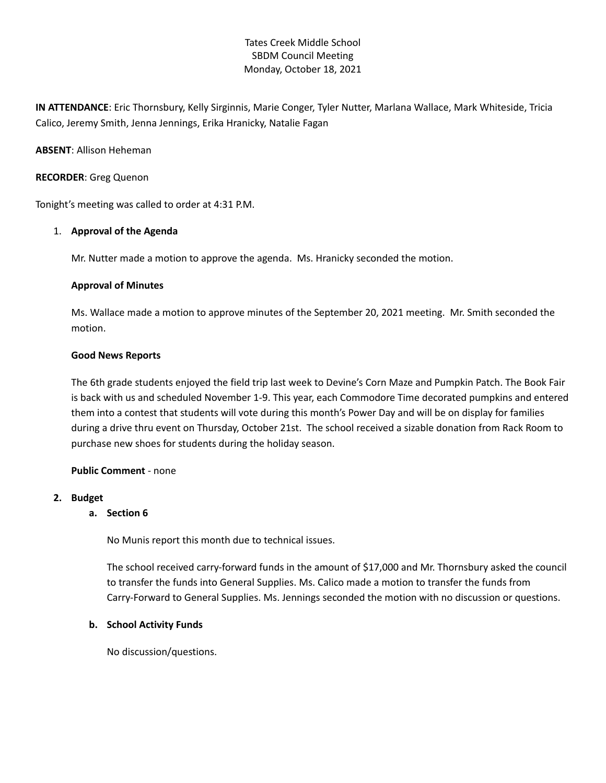# Tates Creek Middle School SBDM Council Meeting Monday, October 18, 2021

**IN ATTENDANCE**: Eric Thornsbury, Kelly Sirginnis, Marie Conger, Tyler Nutter, Marlana Wallace, Mark Whiteside, Tricia Calico, Jeremy Smith, Jenna Jennings, Erika Hranicky, Natalie Fagan

### **ABSENT**: Allison Heheman

### **RECORDER**: Greg Quenon

Tonight's meeting was called to order at 4:31 P.M.

### 1. **Approval of the Agenda**

Mr. Nutter made a motion to approve the agenda. Ms. Hranicky seconded the motion.

### **Approval of Minutes**

Ms. Wallace made a motion to approve minutes of the September 20, 2021 meeting. Mr. Smith seconded the motion.

### **Good News Reports**

The 6th grade students enjoyed the field trip last week to Devine's Corn Maze and Pumpkin Patch. The Book Fair is back with us and scheduled November 1-9. This year, each Commodore Time decorated pumpkins and entered them into a contest that students will vote during this month's Power Day and will be on display for families during a drive thru event on Thursday, October 21st. The school received a sizable donation from Rack Room to purchase new shoes for students during the holiday season.

## **Public Comment** - none

#### **2. Budget**

#### **a. Section 6**

No Munis report this month due to technical issues.

The school received carry-forward funds in the amount of \$17,000 and Mr. Thornsbury asked the council to transfer the funds into General Supplies. Ms. Calico made a motion to transfer the funds from Carry-Forward to General Supplies. Ms. Jennings seconded the motion with no discussion or questions.

#### **b. School Activity Funds**

No discussion/questions.